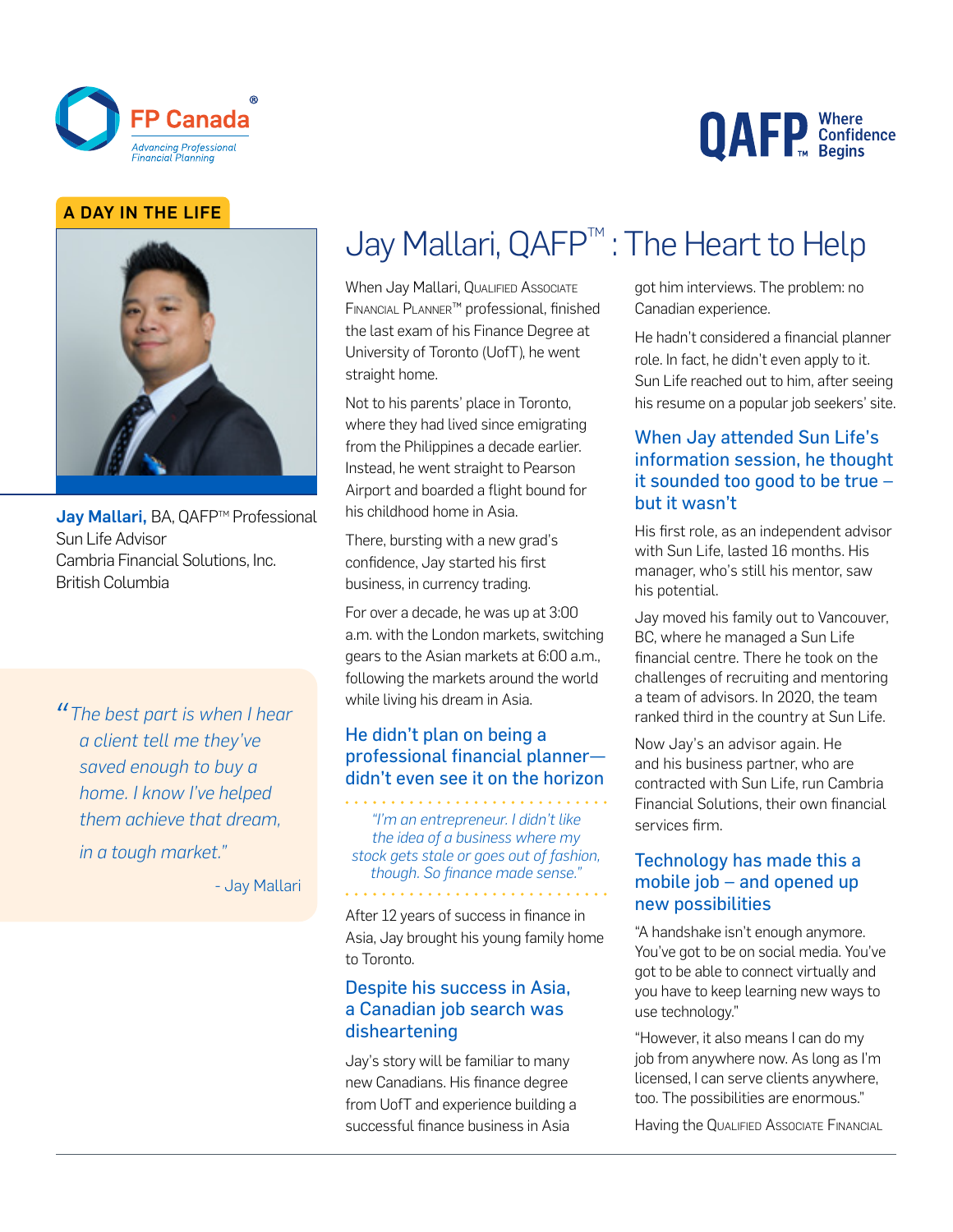

# **QAFP** Confidence

#### A DAY IN THE LIFE



Jav Mallari, BA, QAFP™ Professional Sun Life Advisor Cambria Financial Solutions, Inc. British Columbia

*"The best part is when I hear a client tell me they've saved enough to buy a home. I know I've helped them achieve that dream, in a tough market."*

- Jay Mallari

# Jay Mallari, QAFP<sup>™</sup>: The Heart to Help

When Jay Mallari, QUALIFIED AssociATE Financial Planner™ professional, finished the last exam of his Finance Degree at University of Toronto (UofT), he went straight home.

Not to his parents' place in Toronto, where they had lived since emigrating from the Philippines a decade earlier. Instead, he went straight to Pearson Airport and boarded a flight bound for his childhood home in Asia.

There, bursting with a new grad's confidence, Jay started his first business, in currency trading.

For over a decade, he was up at 3:00 a.m. with the London markets, switching gears to the Asian markets at 6:00 a.m., following the markets around the world while living his dream in Asia.

#### He didn't plan on being a professional financial planner didn't even see it on the horizon

*"I'm an entrepreneur. I didn't like the idea of a business where my stock gets stale or goes out of fashion, though. So finance made sense."*

After 12 years of success in finance in Asia, Jay brought his young family home to Toronto.

#### Despite his success in Asia, a Canadian job search was disheartening

Jay's story will be familiar to many new Canadians. His finance degree from UofT and experience building a successful finance business in Asia

got him interviews. The problem: no Canadian experience.

He hadn't considered a financial planner role. In fact, he didn't even apply to it. Sun Life reached out to him, after seeing his resume on a popular job seekers' site.

#### When Jay attended Sun Life's information session, he thought it sounded too good to be true – but it wasn't

His first role, as an independent advisor with Sun Life, lasted 16 months. His manager, who's still his mentor, saw his potential.

Jay moved his family out to Vancouver, BC, where he managed a Sun Life financial centre. There he took on the challenges of recruiting and mentoring a team of advisors. In 2020, the team ranked third in the country at Sun Life.

Now Jay's an advisor again. He and his business partner, who are contracted with Sun Life, run Cambria Financial Solutions, their own financial services firm.

#### Technology has made this a mobile job – and opened up new possibilities

"A handshake isn't enough anymore. You've got to be on social media. You've got to be able to connect virtually and you have to keep learning new ways to use technology."

"However, it also means I can do my job from anywhere now. As long as I'm licensed, I can serve clients anywhere, too. The possibilities are enormous."

Having the QUALIFIED Associate FINANCIAL